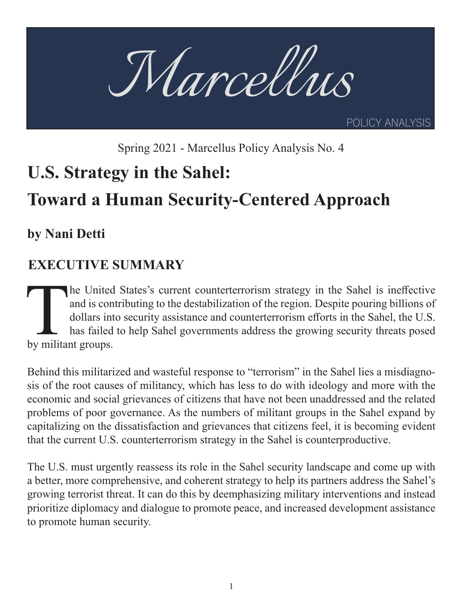

Spring 2021 - Marcellus Policy Analysis No. 4

## **U.S. Strategy in the Sahel:**

# **Toward a Human Security-Centered Approach**

**by Nani Detti** 

## **EXECUTIVE SUMMARY**

The United States's current counterterrorism strategy in the Sahel is ineffective and is contributing to the destabilization of the region. Despite pouring billions of dollars into security assistance and counterterrorism and is contributing to the destabilization of the region. Despite pouring billions of dollars into security assistance and counterterrorism efforts in the Sahel, the U.S. has failed to help Sahel governments address the growing security threats posed by militant groups.

Behind this militarized and wasteful response to "terrorism" in the Sahel lies a misdiagnosis of the root causes of militancy, which has less to do with ideology and more with the economic and social grievances of citizens that have not been unaddressed and the related problems of poor governance. As the numbers of militant groups in the Sahel expand by capitalizing on the dissatisfaction and grievances that citizens feel, it is becoming evident that the current U.S. counterterrorism strategy in the Sahel is counterproductive.

The U.S. must urgently reassess its role in the Sahel security landscape and come up with a better, more comprehensive, and coherent strategy to help its partners address the Sahel's growing terrorist threat. It can do this by deemphasizing military interventions and instead prioritize diplomacy and dialogue to promote peace, and increased development assistance to promote human security.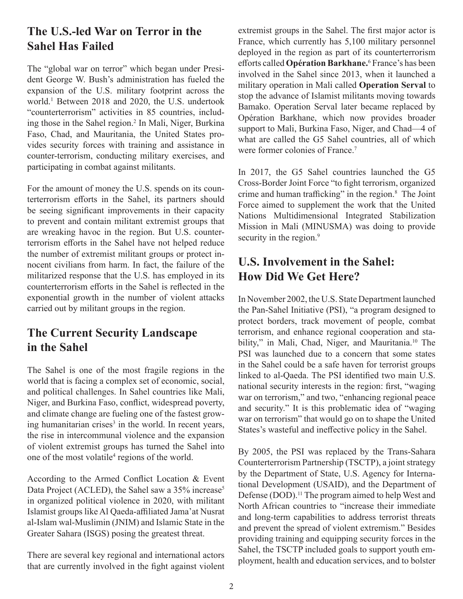## **The U.S.-led War on Terror in the Sahel Has Failed**

The "global war on terror" which began under President George W. Bush's administration has fueled the expansion of the U.S. military footprint across the world.<sup>1</sup> Between 2018 and 2020, the U.S. undertook "counterterrorism" activities in 85 countries, including those in the Sahel region.<sup>2</sup> In Mali, Niger, Burkina Faso, Chad, and Mauritania, the United States provides security forces with training and assistance in counter-terrorism, conducting military exercises, and participating in combat against militants.

For the amount of money the U.S. spends on its counterterrorism efforts in the Sahel, its partners should be seeing significant improvements in their capacity to prevent and contain militant extremist groups that are wreaking havoc in the region. But U.S. counterterrorism efforts in the Sahel have not helped reduce the number of extremist militant groups or protect innocent civilians from harm. In fact, the failure of the militarized response that the U.S. has employed in its counterterrorism efforts in the Sahel is reflected in the exponential growth in the number of violent attacks carried out by militant groups in the region.

## **The Current Security Landscape in the Sahel**

The Sahel is one of the most fragile regions in the world that is facing a complex set of economic, social, and political challenges. In Sahel countries like Mali, Niger, and Burkina Faso, conflict, widespread poverty, and climate change are fueling one of the fastest growing humanitarian crises<sup>3</sup> in the world. In recent years, the rise in intercommunal violence and the expansion of violent extremist groups has turned the Sahel into one of the most volatile<sup>4</sup> regions of the world.

According to the Armed Conflict Location & Event Data Project (ACLED), the Sahel saw a 35% increase<sup>5</sup> in organized political violence in 2020, with militant Islamist groups like Al Qaeda-affiliated Jama'at Nusrat al-Islam wal-Muslimin (JNIM) and Islamic State in the Greater Sahara (ISGS) posing the greatest threat.

There are several key regional and international actors that are currently involved in the fight against violent

extremist groups in the Sahel. The first major actor is France, which currently has 5,100 military personnel deployed in the region as part of its counterterrorism efforts called **Opération Barkhane.**<sup>6</sup> France's has been involved in the Sahel since 2013, when it launched a military operation in Mali called **Operation Serval** to stop the advance of Islamist militants moving towards Bamako. Operation Serval later became replaced by Opération Barkhane, which now provides broader support to Mali, Burkina Faso, Niger, and Chad—4 of what are called the G5 Sahel countries, all of which were former colonies of France.<sup>7</sup>

In 2017, the G5 Sahel countries launched the G5 Cross-Border Joint Force "to fight terrorism, organized crime and human trafficking" in the region.8 The Joint Force aimed to supplement the work that the United Nations Multidimensional Integrated Stabilization Mission in Mali (MINUSMA) was doing to provide security in the region.<sup>9</sup>

### **U.S. Involvement in the Sahel: How Did We Get Here?**

In November 2002, the U.S. State Department launched the Pan-Sahel Initiative (PSI), "a program designed to protect borders, track movement of people, combat terrorism, and enhance regional cooperation and stability," in Mali, Chad, Niger, and Mauritania.<sup>10</sup> The PSI was launched due to a concern that some states in the Sahel could be a safe haven for terrorist groups linked to al-Qaeda. The PSI identified two main U.S. national security interests in the region: first, "waging war on terrorism," and two, "enhancing regional peace and security." It is this problematic idea of "waging war on terrorism" that would go on to shape the United States's wasteful and ineffective policy in the Sahel.

By 2005, the PSI was replaced by the Trans-Sahara Counterterrorism Partnership (TSCTP), a joint strategy by the Department of State, U.S. Agency for International Development (USAID), and the Department of Defense (DOD).<sup>11</sup> The program aimed to help West and North African countries to "increase their immediate and long-term capabilities to address terrorist threats and prevent the spread of violent extremism." Besides providing training and equipping security forces in the Sahel, the TSCTP included goals to support youth employment, health and education services, and to bolster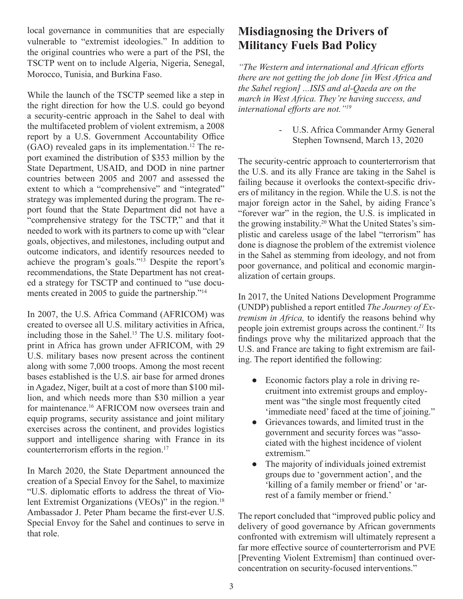local governance in communities that are especially vulnerable to "extremist ideologies." In addition to the original countries who were a part of the PSI, the TSCTP went on to include Algeria, Nigeria, Senegal, Morocco, Tunisia, and Burkina Faso.

While the launch of the TSCTP seemed like a step in the right direction for how the U.S. could go beyond a security-centric approach in the Sahel to deal with the multifaceted problem of violent extremism, a 2008 report by a U.S. Government Accountability Office  $(GAO)$  revealed gaps in its implementation.<sup>12</sup> The report examined the distribution of \$353 million by the State Department, USAID, and DOD in nine partner countries between 2005 and 2007 and assessed the extent to which a "comprehensive" and "integrated" strategy was implemented during the program. The report found that the State Department did not have a "comprehensive strategy for the TSCTP," and that it needed to work with its partners to come up with "clear goals, objectives, and milestones, including output and outcome indicators, and identify resources needed to achieve the program's goals."13 Despite the report's recommendations, the State Department has not created a strategy for TSCTP and continued to "use documents created in 2005 to guide the partnership."<sup>14</sup>

In 2007, the U.S. Africa Command (AFRICOM) was created to oversee all U.S. military activities in Africa, including those in the Sahel.<sup>15</sup> The U.S. military footprint in Africa has grown under AFRICOM, with 29 U.S. military bases now present across the continent along with some 7,000 troops. Among the most recent bases established is the U.S. air base for armed drones in Agadez, Niger, built at a cost of more than \$100 million, and which needs more than \$30 million a year for maintenance.16 AFRICOM now oversees train and equip programs, security assistance and joint military exercises across the continent, and provides logistics support and intelligence sharing with France in its counterterrorism efforts in the region.<sup>17</sup>

In March 2020, the State Department announced the creation of a Special Envoy for the Sahel, to maximize "U.S. diplomatic efforts to address the threat of Violent Extremist Organizations (VEOs)" in the region.<sup>18</sup> Ambassador J. Peter Pham became the first-ever U.S. Special Envoy for the Sahel and continues to serve in that role.

## **Misdiagnosing the Drivers of Militancy Fuels Bad Policy**

*"The Western and international and African efforts there are not getting the job done [in West Africa and the Sahel region] ...ISIS and al-Qaeda are on the march in West Africa. They're having success, and international efforts are not."<sup>19</sup>*

> - U.S. Africa Commander Army General Stephen Townsend, March 13, 2020

The security-centric approach to counterterrorism that the U.S. and its ally France are taking in the Sahel is failing because it overlooks the context-specific drivers of militancy in the region. While the U.S. is not the major foreign actor in the Sahel, by aiding France's "forever war" in the region, the U.S. is implicated in the growing instability.<sup>20</sup> What the United States's simplistic and careless usage of the label "terrorism" has done is diagnose the problem of the extremist violence in the Sahel as stemming from ideology, and not from poor governance, and political and economic marginalization of certain groups.

In 2017, the United Nations Development Programme (UNDP) published a report entitled *The Journey of Extremism in Africa,* to identify the reasons behind why people join extremist groups across the continent.*<sup>21</sup>* Its findings prove why the militarized approach that the U.S. and France are taking to fight extremism are failing. The report identified the following:

- Economic factors play a role in driving recruitment into extremist groups and employment was "the single most frequently cited 'immediate need' faced at the time of joining."
- Grievances towards, and limited trust in the government and security forces was "associated with the highest incidence of violent extremism."
- The majority of individuals joined extremist groups due to 'government action', and the 'killing of a family member or friend' or 'arrest of a family member or friend.'

The report concluded that "improved public policy and delivery of good governance by African governments confronted with extremism will ultimately represent a far more effective source of counterterrorism and PVE [Preventing Violent Extremism] than continued overconcentration on security-focused interventions."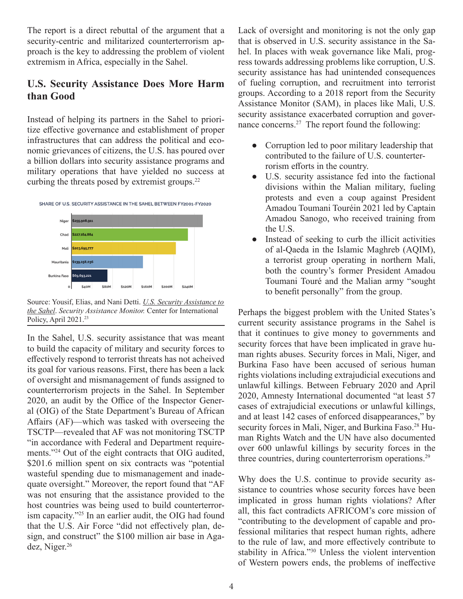The report is a direct rebuttal of the argument that a security-centric and militarized counterterrorism approach is the key to addressing the problem of violent extremism in Africa, especially in the Sahel.

#### **U.S. Security Assistance Does More Harm than Good**

Instead of helping its partners in the Sahel to prioritize effective governance and establishment of proper infrastructures that can address the political and economic grievances of citizens, the U.S. has poured over a billion dollars into security assistance programs and military operations that have yielded no success at curbing the threats posed by extremist groups.<sup>22</sup>





Source: Yousif, Elias, and Nani Detti. *U.S. Security Assistance to the Sahel*. *Security Assistance Monitor.* Center for International Policy, April 2021.<sup>23</sup>

In the Sahel, U.S. security assistance that was meant to build the capacity of military and security forces to effectively respond to terrorist threats has not acheived its goal for various reasons. First, there has been a lack of oversight and mismanagement of funds assigned to counterterrorism projects in the Sahel. In September 2020, an audit by the Office of the Inspector General (OIG) of the State Department's Bureau of African Affairs (AF)—which was tasked with overseeing the TSCTP—revealed that AF was not monitoring TSCTP "in accordance with Federal and Department requirements."<sup>24</sup> Out of the eight contracts that OIG audited, \$201.6 million spent on six contracts was "potential wasteful spending due to mismanagement and inadequate oversight." Moreover, the report found that "AF was not ensuring that the assistance provided to the host countries was being used to build counterterrorism capacity."25 In an earlier audit, the OIG had found that the U.S. Air Force "did not effectively plan, design, and construct" the \$100 million air base in Agadez, Niger.<sup>26</sup>

Lack of oversight and monitoring is not the only gap that is observed in U.S. security assistance in the Sahel. In places with weak governance like Mali, progress towards addressing problems like corruption, U.S. security assistance has had unintended consequences of fueling corruption, and recruitment into terrorist groups. According to a 2018 report from the Security Assistance Monitor (SAM), in places like Mali, U.S. security assistance exacerbated corruption and governance concerns.27 The report found the following:

- Corruption led to poor military leadership that contributed to the failure of U.S. counterterrorism efforts in the country.
- U.S. security assistance fed into the factional divisions within the Malian military, fueling protests and even a coup against President Amadou Toumani Touréin 2021 led by Captain Amadou Sanogo, who received training from the U.S.
- Instead of seeking to curb the illicit activities of al-Qaeda in the Islamic Maghreb (AQIM), a terrorist group operating in northern Mali, both the country's former President Amadou Toumani Touré and the Malian army "sought to benefit personally" from the group.

Perhaps the biggest problem with the United States's current security assistance programs in the Sahel is that it continues to give money to governments and security forces that have been implicated in grave human rights abuses. Security forces in Mali, Niger, and Burkina Faso have been accused of serious human rights violations including extrajudicial executions and unlawful killings. Between February 2020 and April 2020, Amnesty International documented "at least 57 cases of extrajudicial executions or unlawful killings, and at least 142 cases of enforced disappearances," by security forces in Mali, Niger, and Burkina Faso.<sup>28</sup> Human Rights Watch and the UN have also documented over 600 unlawful killings by security forces in the three countries, during counterterrorism operations.<sup>29</sup>

Why does the U.S. continue to provide security assistance to countries whose security forces have been implicated in gross human rights violations? After all, this fact contradicts AFRICOM's core mission of "contributing to the development of capable and professional militaries that respect human rights, adhere to the rule of law, and more effectively contribute to stability in Africa."<sup>30</sup> Unless the violent intervention of Western powers ends, the problems of ineffective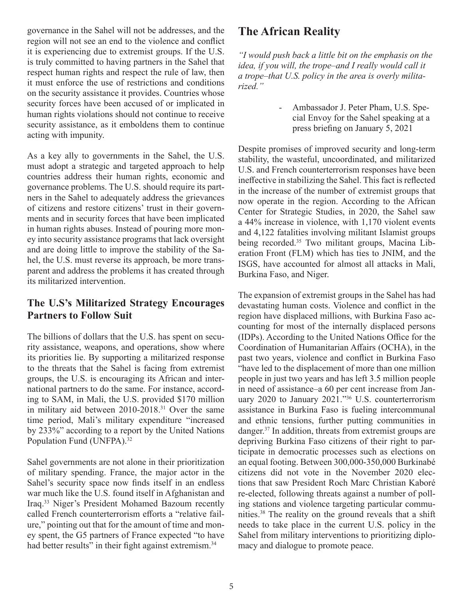governance in the Sahel will not be addresses, and the region will not see an end to the violence and conflict it is experiencing due to extremist groups. If the U.S. is truly committed to having partners in the Sahel that respect human rights and respect the rule of law, then it must enforce the use of restrictions and conditions on the security assistance it provides. Countries whose security forces have been accused of or implicated in human rights violations should not continue to receive security assistance, as it emboldens them to continue acting with impunity.

As a key ally to governments in the Sahel, the U.S. must adopt a strategic and targeted approach to help countries address their human rights, economic and governance problems. The U.S. should require its partners in the Sahel to adequately address the grievances of citizens and restore citizens' trust in their governments and in security forces that have been implicated in human rights abuses. Instead of pouring more money into security assistance programs that lack oversight and are doing little to improve the stability of the Sahel, the U.S. must reverse its approach, be more transparent and address the problems it has created through its militarized intervention.

#### **The U.S's Militarized Strategy Encourages Partners to Follow Suit**

The billions of dollars that the U.S. has spent on security assistance, weapons, and operations, show where its priorities lie. By supporting a militarized response to the threats that the Sahel is facing from extremist groups, the U.S. is encouraging its African and international partners to do the same. For instance, according to SAM, in Mali, the U.S. provided \$170 million in military aid between 2010-2018.<sup>31</sup> Over the same time period, Mali's military expenditure "increased by 233%" according to a report by the United Nations Population Fund (UNFPA).<sup>32</sup>

Sahel governments are not alone in their prioritization of military spending. France, the major actor in the Sahel's security space now finds itself in an endless war much like the U.S. found itself in Afghanistan and Iraq.33 Niger's President Mohamed Bazoum recently called French counterterrorism efforts a "relative failure," pointing out that for the amount of time and money spent, the G5 partners of France expected "to have had better results" in their fight against extremism.<sup>34</sup>

## **The African Reality**

*"I would push back a little bit on the emphasis on the idea, if you will, the trope–and I really would call it a trope–that U.S. policy in the area is overly militarized."*

> - Ambassador J. Peter Pham, U.S. Special Envoy for the Sahel speaking at a press briefing on January 5, 2021

Despite promises of improved security and long-term stability, the wasteful, uncoordinated, and militarized U.S. and French counterterrorism responses have been ineffective in stabilizing the Sahel. This fact is reflected in the increase of the number of extremist groups that now operate in the region. According to the African Center for Strategic Studies, in 2020, the Sahel saw a 44% increase in violence, with 1,170 violent events and 4,122 fatalities involving militant Islamist groups being recorded.<sup>35</sup> Two militant groups, Macina Liberation Front (FLM) which has ties to JNIM, and the ISGS, have accounted for almost all attacks in Mali, Burkina Faso, and Niger.

The expansion of extremist groups in the Sahel has had devastating human costs. Violence and conflict in the region have displaced millions, with Burkina Faso accounting for most of the internally displaced persons (IDPs). According to the United Nations Office for the Coordination of Humanitarian Affairs (OCHA), in the past two years, violence and conflict in Burkina Faso "have led to the displacement of more than one million people in just two years and has left 3.5 million people in need of assistance–a 60 per cent increase from January 2020 to January 2021."36 U.S. counterterrorism assistance in Burkina Faso is fueling intercommunal and ethnic tensions, further putting communities in danger.37 In addition, threats from extremist groups are depriving Burkina Faso citizens of their right to participate in democratic processes such as elections on an equal footing. Between 300,000-350,000 Burkinabé citizens did not vote in the November 2020 elections that saw President Roch Marc Christian Kaboré re-elected, following threats against a number of polling stations and violence targeting particular communities.38 The reality on the ground reveals that a shift needs to take place in the current U.S. policy in the Sahel from military interventions to prioritizing diplomacy and dialogue to promote peace.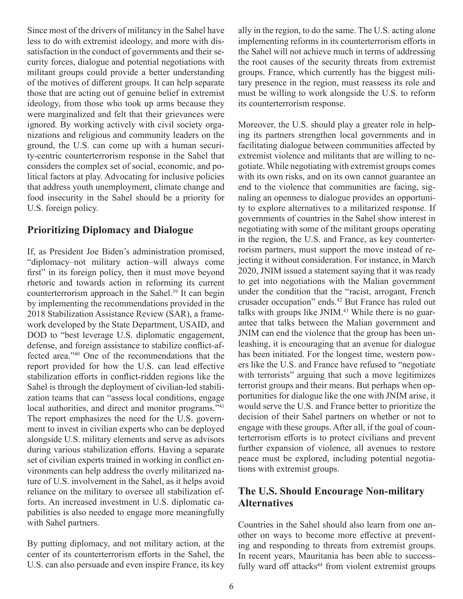Since most of the drivers of militancy in the Sahel have less to do with extremist ideology, and more with dissatisfaction in the conduct of governments and their security forces, dialogue and potential negotiations with militant groups could provide a better understanding of the motives of different groups. It can help separate those that are acting out of genuine belief in extremist ideology, from those who took up arms because they were marginalized and felt that their grievances were ignored. By working actively with civil society organizations and religious and community leaders on the ground, the U.S. can come up with a human security-centric counterterrorism response in the Sahel that considers the complex set of social, economic, and political factors at play. Advocating for inclusive policies that address youth unemployment, climate change and food insecurity in the Sahel should be a priority for U.S. foreign policy.

#### **Prioritizing Diplomacy and Dialogue**

If, as President Joe Biden's administration promised, "diplomacy–not military action–will always come first" in its foreign policy, then it must move beyond rhetoric and towards action in reforming its current counterterrorism approach in the Sahel.<sup>39</sup> It can begin by implementing the recommendations provided in the 2018 Stabilization Assistance Review (SAR), a framework developed by the State Department, USAID, and DOD to "best leverage U.S. diplomatic engagement, defense, and foreign assistance to stabilize conflict-affected area."<sup>40</sup> One of the recommendations that the report provided for how the U.S. can lead effective stabilization efforts in conflict-ridden regions like the Sahel is through the deployment of civilian-led stabilization teams that can "assess local conditions, engage local authorities, and direct and monitor programs."<sup>41</sup> The report emphasizes the need for the U.S. government to invest in civilian experts who can be deployed alongside U.S. military elements and serve as advisors during various stabilization efforts. Having a separate set of civilian experts trained in working in conflict environments can help address the overly militarized nature of U.S. involvement in the Sahel, as it helps avoid reliance on the military to oversee all stabilization efforts. An increased investment in U.S. diplomatic capabilities is also needed to engage more meaningfully with Sahel partners.

By putting diplomacy, and not military action, at the center of its counterterrorism efforts in the Sahel, the U.S. can also persuade and even inspire France, its key

ally in the region, to do the same. The U.S. acting alone implementing reforms in its counterterrorism efforts in the Sahel will not achieve much in terms of addressing the root causes of the security threats from extremist groups. France, which currently has the biggest military presence in the region, must reassess its role and must be willing to work alongside the U.S. to reform its counterterrorism response.

Moreover, the U.S. should play a greater role in helping its partners strengthen local governments and in facilitating dialogue between communities affected by extremist violence and militants that are willing to negotiate. While negotiating with extremist groups comes with its own risks, and on its own cannot guarantee an end to the violence that communities are facing, signaling an openness to dialogue provides an opportunity to explore alternatives to a militarized response. If governments of countries in the Sahel show interest in negotiating with some of the militant groups operating in the region, the U.S. and France, as key counterterrorism partners, must support the move instead of rejecting it without consideration. For instance, in March 2020, JNIM issued a statement saying that it was ready to get into negotiations with the Malian government under the condition that the "racist, arrogant, French crusader occupation" ends.42 But France has ruled out talks with groups like JNIM.<sup>43</sup> While there is no guarantee that talks between the Malian government and JNIM can end the violence that the group has been unleashing, it is encouraging that an avenue for dialogue has been initiated. For the longest time, western powers like the U.S. and France have refused to "negotiate with terrorists" arguing that such a move legitimizes terrorist groups and their means. But perhaps when opportunities for dialogue like the one with JNIM arise, it would serve the U.S. and France better to prioritize the decision of their Sahel partners on whether or not to engage with these groups. After all, if the goal of counterterrorism efforts is to protect civilians and prevent further expansion of violence, all avenues to restore peace must be explored, including potential negotiations with extremist groups.

#### **The U.S. Should Encourage Non-military Alternatives**

Countries in the Sahel should also learn from one another on ways to become more effective at preventing and responding to threats from extremist groups. In recent years, Mauritania has been able to successfully ward off attacks<sup>44</sup> from violent extremist groups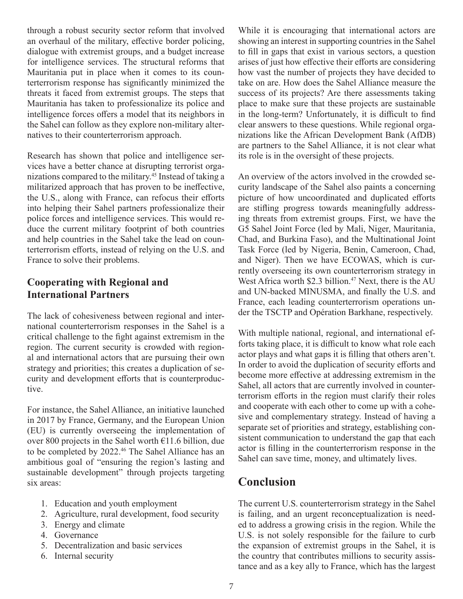through a robust security sector reform that involved an overhaul of the military, effective border policing, dialogue with extremist groups, and a budget increase for intelligence services. The structural reforms that Mauritania put in place when it comes to its counterterrorism response has significantly minimized the threats it faced from extremist groups. The steps that Mauritania has taken to professionalize its police and intelligence forces offers a model that its neighbors in the Sahel can follow as they explore non-military alternatives to their counterterrorism approach.

Research has shown that police and intelligence services have a better chance at disrupting terrorist organizations compared to the military.45 Instead of taking a militarized approach that has proven to be ineffective, the U.S., along with France, can refocus their efforts into helping their Sahel partners professionalize their police forces and intelligence services. This would reduce the current military footprint of both countries and help countries in the Sahel take the lead on counterterrorism efforts, instead of relying on the U.S. and France to solve their problems.

#### **Cooperating with Regional and International Partners**

The lack of cohesiveness between regional and international counterterrorism responses in the Sahel is a critical challenge to the fight against extremism in the region. The current security is crowded with regional and international actors that are pursuing their own strategy and priorities; this creates a duplication of security and development efforts that is counterproductive.

For instance, the Sahel Alliance, an initiative launched in 2017 by France, Germany, and the European Union (EU) is currently overseeing the implementation of over 800 projects in the Sahel worth  $\epsilon$ 11.6 billion, due to be completed by 2022.<sup>46</sup> The Sahel Alliance has an ambitious goal of "ensuring the region's lasting and sustainable development" through projects targeting six areas:

- 1. Education and youth employment
- 2. Agriculture, rural development, food security
- 3. Energy and climate
- 4. Governance
- 5. Decentralization and basic services
- 6. Internal security

While it is encouraging that international actors are showing an interest in supporting countries in the Sahel to fill in gaps that exist in various sectors, a question arises of just how effective their efforts are considering how vast the number of projects they have decided to take on are. How does the Sahel Alliance measure the success of its projects? Are there assessments taking place to make sure that these projects are sustainable in the long-term? Unfortunately, it is difficult to find clear answers to these questions. While regional organizations like the African Development Bank (AfDB) are partners to the Sahel Alliance, it is not clear what its role is in the oversight of these projects.

An overview of the actors involved in the crowded security landscape of the Sahel also paints a concerning picture of how uncoordinated and duplicated efforts are stifling progress towards meaningfully addressing threats from extremist groups. First, we have the G5 Sahel Joint Force (led by Mali, Niger, Mauritania, Chad, and Burkina Faso), and the Multinational Joint Task Force (led by Nigeria, Benin, Cameroon, Chad, and Niger). Then we have ECOWAS, which is currently overseeing its own counterterrorism strategy in West Africa worth \$2.3 billion.<sup>47</sup> Next, there is the AU and UN-backed MINUSMA, and finally the U.S. and France, each leading counterterrorism operations under the TSCTP and Opération Barkhane, respectively.

With multiple national, regional, and international efforts taking place, it is difficult to know what role each actor plays and what gaps it is filling that others aren't. In order to avoid the duplication of security efforts and become more effective at addressing extremism in the Sahel, all actors that are currently involved in counterterrorism efforts in the region must clarify their roles and cooperate with each other to come up with a cohesive and complementary strategy. Instead of having a separate set of priorities and strategy, establishing consistent communication to understand the gap that each actor is filling in the counterterrorism response in the Sahel can save time, money, and ultimately lives.

### **Conclusion**

The current U.S. counterterrorism strategy in the Sahel is failing, and an urgent reconceptualization is needed to address a growing crisis in the region. While the U.S. is not solely responsible for the failure to curb the expansion of extremist groups in the Sahel, it is the country that contributes millions to security assistance and as a key ally to France, which has the largest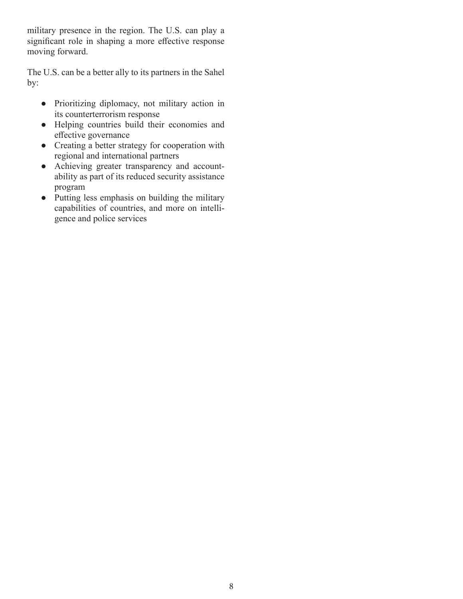military presence in the region. The U.S. can play a significant role in shaping a more effective response moving forward.

The U.S. can be a better ally to its partners in the Sahel by:

- Prioritizing diplomacy, not military action in its counterterrorism response
- Helping countries build their economies and effective governance
- Creating a better strategy for cooperation with regional and international partners
- Achieving greater transparency and accountability as part of its reduced security assistance program
- Putting less emphasis on building the military capabilities of countries, and more on intelligence and police services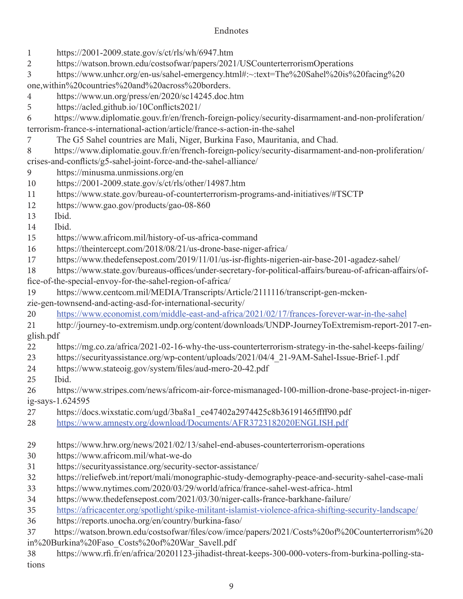#### Endnotes

- https://2001-2009.state.gov/s/ct/rls/wh/6947.htm
- https://watson.brown.edu/costsofwar/papers/2021/USCounterterrorismOperations
- https://www.unhcr.org/en-us/sahel-emergency.html#:~:text=The%20Sahel%20is%20facing%20
- one,within%20countries%20and%20across%20borders.
- https://www.un.org/press/en/2020/sc14245.doc.htm
- https://acled.github.io/10Conflicts2021/
- https://www.diplomatie.gouv.fr/en/french-foreign-policy/security-disarmament-and-non-proliferation/ terrorism-france-s-international-action/article/france-s-action-in-the-sahel
- The G5 Sahel countries are Mali, Niger, Burkina Faso, Mauritania, and Chad.
- https://www.diplomatie.gouv.fr/en/french-foreign-policy/security-disarmament-and-non-proliferation/ crises-and-conflicts/g5-sahel-joint-force-and-the-sahel-alliance/
- https://minusma.unmissions.org/en
- https://2001-2009.state.gov/s/ct/rls/other/14987.htm
- https://www.state.gov/bureau-of-counterterrorism-programs-and-initiatives/#TSCTP
- https://www.gao.gov/products/gao-08-860
- Ibid.
- Ibid.
- https://www.africom.mil/history-of-us-africa-command
- https://theintercept.com/2018/08/21/us-drone-base-niger-africa/
- https://www.thedefensepost.com/2019/11/01/us-isr-flights-nigerien-air-base-201-agadez-sahel/
- https://www.state.gov/bureaus-offices/under-secretary-for-political-affairs/bureau-of-african-affairs/office-of-the-special-envoy-for-the-sahel-region-of-africa/
- https://www.centcom.mil/MEDIA/Transcripts/Article/2111116/transcript-gen-mcken-
- zie-gen-townsend-and-acting-asd-for-international-security/
- https://www.economist.com/middle-east-and-africa/2021/02/17/frances-forever-war-in-the-sahel
- http://journey-to-extremism.undp.org/content/downloads/UNDP-JourneyToExtremism-report-2017-english.pdf
- https://mg.co.za/africa/2021-02-16-why-the-uss-counterterrorism-strategy-in-the-sahel-keeps-failing/
- https://securityassistance.org/wp-content/uploads/2021/04/4\_21-9AM-Sahel-Issue-Brief-1.pdf
- https://www.stateoig.gov/system/files/aud-mero-20-42.pdf
- Ibid.
- https://www.stripes.com/news/africom-air-force-mismanaged-100-million-drone-base-project-in-nigerig-says-1.624595
- https://docs.wixstatic.com/ugd/3ba8a1\_ce47402a2974425c8b36191465ffff90.pdf
- https://www.amnesty.org/download/Documents/AFR3723182020ENGLISH.pdf
- https://www.hrw.org/news/2021/02/13/sahel-end-abuses-counterterrorism-operations
- https://www.africom.mil/what-we-do
- https://securityassistance.org/security-sector-assistance/
- https://reliefweb.int/report/mali/monographic-study-demography-peace-and-security-sahel-case-mali
- https://www.nytimes.com/2020/03/29/world/africa/france-sahel-west-africa-.html
- https://www.thedefensepost.com/2021/03/30/niger-calls-france-barkhane-failure/
- https://africacenter.org/spotlight/spike-militant-islamist-violence-africa-shifting-security-landscape/
- https://reports.unocha.org/en/country/burkina-faso/
- https://watson.brown.edu/costsofwar/files/cow/imce/papers/2021/Costs%20of%20Counterterrorism%20 in%20Burkina%20Faso\_Costs%20of%20War\_Savell.pdf
- https://www.rfi.fr/en/africa/20201123-jihadist-threat-keeps-300-000-voters-from-burkina-polling-stations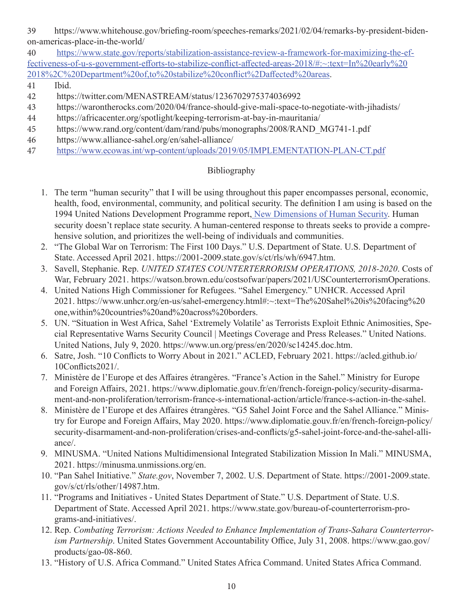39 https://www.whitehouse.gov/briefing-room/speeches-remarks/2021/02/04/remarks-by-president-bidenon-americas-place-in-the-world/

40 https://www.state.gov/reports/stabilization-assistance-review-a-framework-for-maximizing-the-effectiveness-of-u-s-government-efforts-to-stabilize-conflict-affected-areas-2018/#:~:text=In%20early%20 2018%2C%20Department%20of,to%20stabilize%20conflict%2Daffected%20areas.

41 Ibid.

- 42 https://twitter.com/MENASTREAM/status/1236702975374036992
- 43 https://warontherocks.com/2020/04/france-should-give-mali-space-to-negotiate-with-jihadists/
- 44 https://africacenter.org/spotlight/keeping-terrorism-at-bay-in-mauritania/
- 45 https://www.rand.org/content/dam/rand/pubs/monographs/2008/RAND\_MG741-1.pdf
- 46 https://www.alliance-sahel.org/en/sahel-alliance/
- 47 https://www.ecowas.int/wp-content/uploads/2019/05/IMPLEMENTATION-PLAN-CT.pdf

#### Bibliography

- 1. The term "human security" that I will be using throughout this paper encompasses personal, economic, health, food, environmental, community, and political security. The definition I am using is based on the 1994 United Nations Development Programme report, New Dimensions of Human Security. Human security doesn't replace state security. A human-centered response to threats seeks to provide a comprehensive solution, and prioritizes the well-being of individuals and communities.
- 2. "The Global War on Terrorism: The First 100 Days." U.S. Department of State. U.S. Department of State. Accessed April 2021. https://2001-2009.state.gov/s/ct/rls/wh/6947.htm.
- 3. Savell, Stephanie. Rep. *UNITED STATES COUNTERTERRORISM OPERATIONS, 2018-2020*. Costs of War, February 2021. https://watson.brown.edu/costsofwar/papers/2021/USCounterterrorismOperations.
- 4. United Nations High Commissioner for Refugees. "Sahel Emergency." UNHCR. Accessed April 2021. https://www.unhcr.org/en-us/sahel-emergency.html#:~:text=The%20Sahel%20is%20facing%20 one,within%20countries%20and%20across%20borders.
- 5. UN. "Situation in West Africa, Sahel 'Extremely Volatile' as Terrorists Exploit Ethnic Animosities, Special Representative Warns Security Council | Meetings Coverage and Press Releases." United Nations. United Nations, July 9, 2020. https://www.un.org/press/en/2020/sc14245.doc.htm.
- 6. Satre, Josh. "10 Conflicts to Worry About in 2021." ACLED, February 2021. https://acled.github.io/ 10Conflicts2021/.
- 7. Ministère de l'Europe et des Affaires étrangères. "France's Action in the Sahel." Ministry for Europe and Foreign Affairs, 2021. https://www.diplomatie.gouv.fr/en/french-foreign-policy/security-disarmament-and-non-proliferation/terrorism-france-s-international-action/article/france-s-action-in-the-sahel.
- 8. Ministère de l'Europe et des Affaires étrangères. "G5 Sahel Joint Force and the Sahel Alliance." Ministry for Europe and Foreign Affairs, May 2020. https://www.diplomatie.gouv.fr/en/french-foreign-policy/ security-disarmament-and-non-proliferation/crises-and-conflicts/g5-sahel-joint-force-and-the-sahel-alliance/.
- 9. MINUSMA. "United Nations Multidimensional Integrated Stabilization Mission In Mali." MINUSMA, 2021. https://minusma.unmissions.org/en.
- 10. "Pan Sahel Initiative." *State.gov*, November 7, 2002. U.S. Department of State. https://2001-2009.state. gov/s/ct/rls/other/14987.htm.
- 11. "Programs and Initiatives United States Department of State." U.S. Department of State. U.S. Department of State. Accessed April 2021. https://www.state.gov/bureau-of-counterterrorism-programs-and-initiatives/.
- 12. Rep. *Combating Terrorism: Actions Needed to Enhance Implementation of Trans-Sahara Counterterrorism Partnership*. United States Government Accountability Office, July 31, 2008. https://www.gao.gov/ products/gao-08-860.
- 13. "History of U.S. Africa Command." United States Africa Command. United States Africa Command.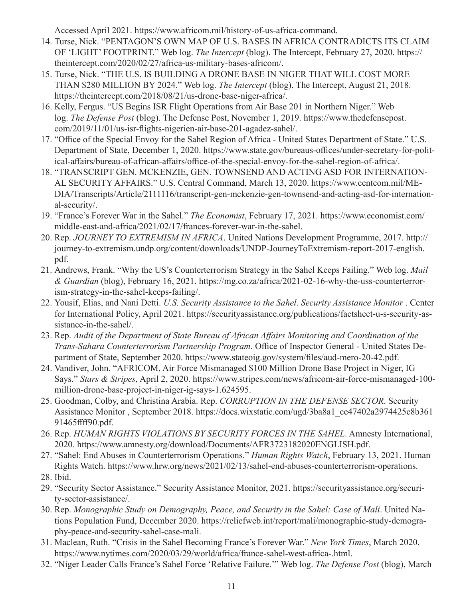Accessed April 2021. https://www.africom.mil/history-of-us-africa-command.

- 14. Turse, Nick. "PENTAGON'S OWN MAP OF U.S. BASES IN AFRICA CONTRADICTS ITS CLAIM OF 'LIGHT' FOOTPRINT." Web log. *The Intercept* (blog). The Intercept, February 27, 2020. https:// theintercept.com/2020/02/27/africa-us-military-bases-africom/.
- 15. Turse, Nick. "THE U.S. IS BUILDING A DRONE BASE IN NIGER THAT WILL COST MORE THAN \$280 MILLION BY 2024." Web log. *The Intercept* (blog). The Intercept, August 21, 2018. https://theintercept.com/2018/08/21/us-drone-base-niger-africa/.
- 16. Kelly, Fergus. "US Begins ISR Flight Operations from Air Base 201 in Northern Niger." Web log. *The Defense Post* (blog). The Defense Post, November 1, 2019. https://www.thedefensepost. com/2019/11/01/us-isr-flights-nigerien-air-base-201-agadez-sahel/.
- 17. "Office of the Special Envoy for the Sahel Region of Africa United States Department of State." U.S. Department of State, December 1, 2020. https://www.state.gov/bureaus-offices/under-secretary-for-political-affairs/bureau-of-african-affairs/office-of-the-special-envoy-for-the-sahel-region-of-africa/.
- 18. "TRANSCRIPT GEN. MCKENZIE, GEN. TOWNSEND AND ACTING ASD FOR INTERNATION-AL SECURITY AFFAIRS." U.S. Central Command, March 13, 2020. https://www.centcom.mil/ME-DIA/Transcripts/Article/2111116/transcript-gen-mckenzie-gen-townsend-and-acting-asd-for-international-security/.
- 19. "France's Forever War in the Sahel." *The Economist*, February 17, 2021. https://www.economist.com/ middle-east-and-africa/2021/02/17/frances-forever-war-in-the-sahel.
- 20. Rep. *JOURNEY TO EXTREMISM IN AFRICA*. United Nations Development Programme, 2017. http:// journey-to-extremism.undp.org/content/downloads/UNDP-JourneyToExtremism-report-2017-english. pdf.
- 21. Andrews, Frank. "Why the US's Counterterrorism Strategy in the Sahel Keeps Failing." Web log. *Mail & Guardian* (blog), February 16, 2021. https://mg.co.za/africa/2021-02-16-why-the-uss-counterterrorism-strategy-in-the-sahel-keeps-failing/.
- 22. Yousif, Elias, and Nani Detti. *U.S. Security Assistance to the Sahel*. *Security Assistance Monitor* . Center for International Policy, April 2021. https://securityassistance.org/publications/factsheet-u-s-security-assistance-in-the-sahel/.
- 23. Rep. *Audit of the Department of State Bureau of African Affairs Monitoring and Coordination of the Trans-Sahara Counterterrorism Partnership Program*. Office of Inspector General - United States Department of State, September 2020. https://www.stateoig.gov/system/files/aud-mero-20-42.pdf.
- 24. Vandiver, John. "AFRICOM, Air Force Mismanaged \$100 Million Drone Base Project in Niger, IG Says." *Stars & Stripes*, April 2, 2020. https://www.stripes.com/news/africom-air-force-mismanaged-100 million-drone-base-project-in-niger-ig-says-1.624595.
- 25. Goodman, Colby, and Christina Arabia. Rep. *CORRUPTION IN THE DEFENSE SECTOR*. Security Assistance Monitor , September 2018. https://docs.wixstatic.com/ugd/3ba8a1\_ce47402a2974425c8b361 91465ffff90.pdf.
- 26. Rep. *HUMAN RIGHTS VIOLATIONS BY SECURITY FORCES IN THE SAHEL*. Amnesty International, 2020. https://www.amnesty.org/download/Documents/AFR3723182020ENGLISH.pdf.
- 27. "Sahel: End Abuses in Counterterrorism Operations." *Human Rights Watch*, February 13, 2021. Human Rights Watch. https://www.hrw.org/news/2021/02/13/sahel-end-abuses-counterterrorism-operations.
- 28. Ibid.
- 29. "Security Sector Assistance." Security Assistance Monitor, 2021. https://securityassistance.org/security-sector-assistance/.
- 30. Rep. *Monographic Study on Demography, Peace, and Security in the Sahel: Case of Mali*. United Nations Population Fund, December 2020. https://reliefweb.int/report/mali/monographic-study-demography-peace-and-security-sahel-case-mali.
- 31. Maclean, Ruth. "Crisis in the Sahel Becoming France's Forever War." *New York Times*, March 2020. https://www.nytimes.com/2020/03/29/world/africa/france-sahel-west-africa-.html.
- 32. "Niger Leader Calls France's Sahel Force 'Relative Failure.'" Web log. *The Defense Post* (blog), March